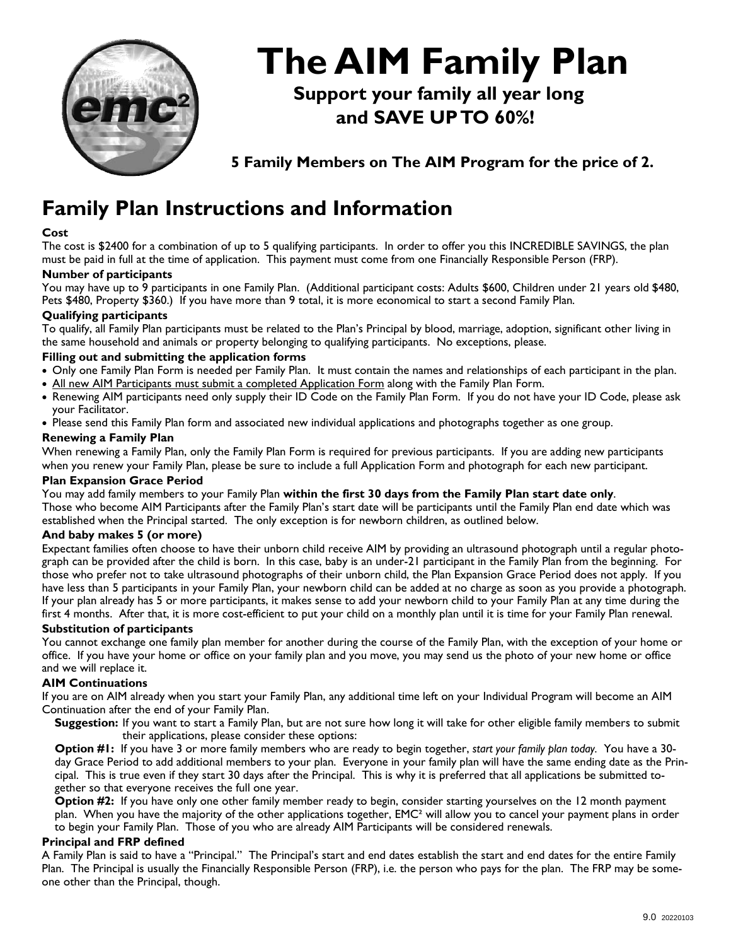

# **The AIM Family Plan**

 **Support your family all year long and SAVE UP TO 60%!** 

 **5 Family Members on The AIM Program for the price of 2.** 

# **Family Plan Instructions and Information**

#### **Cost**

The cost is \$2400 for a combination of up to 5 qualifying participants. In order to offer you this INCREDIBLE SAVINGS, the plan must be paid in full at the time of application. This payment must come from one Financially Responsible Person (FRP).

#### **Number of participants**

You may have up to 9 participants in one Family Plan. (Additional participant costs: Adults \$600, Children under 21 years old \$480, Pets \$480, Property \$360.) If you have more than 9 total, it is more economical to start a second Family Plan.

### **Qualifying participants**

To qualify, all Family Plan participants must be related to the Plan's Principal by blood, marriage, adoption, significant other living in the same household and animals or property belonging to qualifying participants. No exceptions, please.

#### **Filling out and submitting the application forms**

- Only one Family Plan Form is needed per Family Plan. It must contain the names and relationships of each participant in the plan.
- All new AIM Participants must submit a completed Application Form along with the Family Plan Form.
- Renewing AIM participants need only supply their ID Code on the Family Plan Form. If you do not have your ID Code, please ask your Facilitator.
- Please send this Family Plan form and associated new individual applications and photographs together as one group.

#### **Renewing a Family Plan**

When renewing a Family Plan, only the Family Plan Form is required for previous participants. If you are adding new participants when you renew your Family Plan, please be sure to include a full Application Form and photograph for each new participant.

#### **Plan Expansion Grace Period**

You may add family members to your Family Plan **within the first 30 days from the Family Plan start date only**. Those who become AIM Participants after the Family Plan's start date will be participants until the Family Plan end date which was established when the Principal started. The only exception is for newborn children, as outlined below.

#### **And baby makes 5 (or more)**

Expectant families often choose to have their unborn child receive AIM by providing an ultrasound photograph until a regular photograph can be provided after the child is born. In this case, baby is an under-21 participant in the Family Plan from the beginning. For those who prefer not to take ultrasound photographs of their unborn child, the Plan Expansion Grace Period does not apply. If you have less than 5 participants in your Family Plan, your newborn child can be added at no charge as soon as you provide a photograph. If your plan already has 5 or more participants, it makes sense to add your newborn child to your Family Plan at any time during the first 4 months. After that, it is more cost-efficient to put your child on a monthly plan until it is time for your Family Plan renewal.

#### **Substitution of participants**

You cannot exchange one family plan member for another during the course of the Family Plan, with the exception of your home or office. If you have your home or office on your family plan and you move, you may send us the photo of your new home or office and we will replace it.

#### **AIM Continuations**

If you are on AIM already when you start your Family Plan, any additional time left on your Individual Program will become an AIM Continuation after the end of your Family Plan.

**Suggestion:** If you want to start a Family Plan, but are not sure how long it will take for other eligible family members to submit their applications, please consider these options:

**Option #1:** If you have 3 or more family members who are ready to begin together, *start your family plan today.* You have a 30 day Grace Period to add additional members to your plan. Everyone in your family plan will have the same ending date as the Principal. This is true even if they start 30 days after the Principal. This is why it is preferred that all applications be submitted together so that everyone receives the full one year.

**Option #2:** If you have only one other family member ready to begin, consider starting yourselves on the 12 month payment plan. When you have the majority of the other applications together, EMC² will allow you to cancel your payment plans in order to begin your Family Plan. Those of you who are already AIM Participants will be considered renewals.

#### **Principal and FRP defined**

A Family Plan is said to have a "Principal." The Principal's start and end dates establish the start and end dates for the entire Family Plan. The Principal is usually the Financially Responsible Person (FRP), i.e. the person who pays for the plan. The FRP may be someone other than the Principal, though.